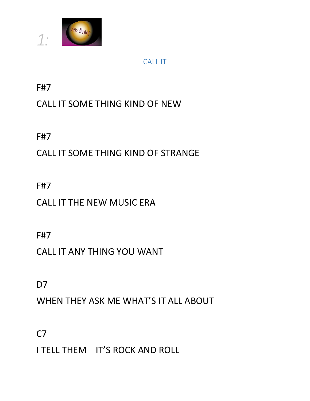

### CALL IT

F#7

# CALL IT SOME THING KIND OF NEW

F#7

# CALL IT SOME THING KIND OF STRANGE

F#7

CALL IT THE NEW MUSIC ERA

F#7

CALL IT ANY THING YOU WANT

D<sub>7</sub>

WHEN THEY ASK ME WHAT'S IT ALL ABOUT

 $C<sub>7</sub>$ 

I TELL THEM IT'S ROCK AND ROLL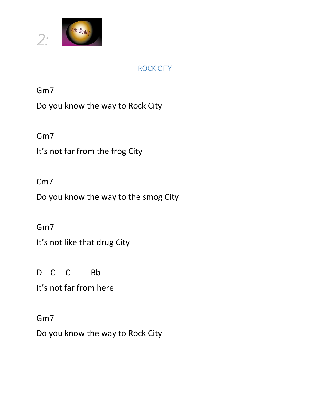

#### ROCK CITY

Gm7

Do you know the way to Rock City

Gm7

It's not far from the frog City

### Cm7

Do you know the way to the smog City

### Gm7

It's not like that drug City

D C C Bb

It's not far from here

### Gm7

Do you know the way to Rock City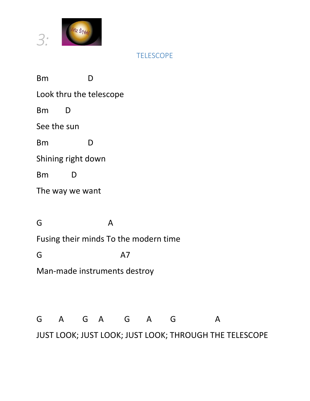

**TELESCOPE** 

Bm D Look thru the telescope Bm D See the sun Bm D Shining right down Bm D The way we want G A Fusing their minds To the modern time G A7 Man-made instruments destroy G A G A G A G A

JUST LOOK; JUST LOOK; JUST LOOK; THROUGH THE TELESCOPE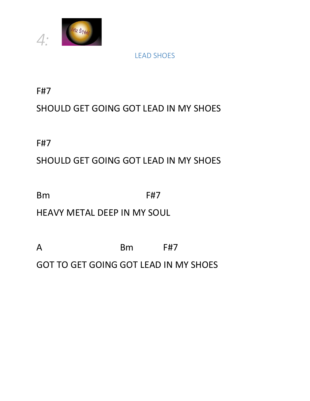

#### LEAD SHOES

F#7

## SHOULD GET GOING GOT LEAD IN MY SHOES

F#7

## SHOULD GET GOING GOT LEAD IN MY SHOES

Bm F#7

HEAVY METAL DEEP IN MY SOUL

A Bm F#7 GOT TO GET GOING GOT LEAD IN MY SHOES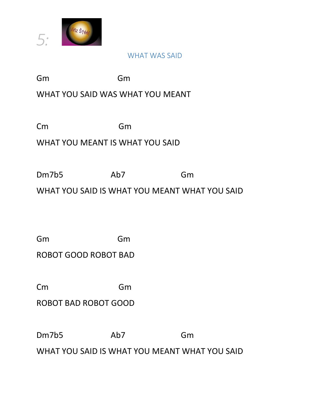

#### WHAT WAS SAID

Gm Gm

### WHAT YOU SAID WAS WHAT YOU MEANT

Cm Gm

#### WHAT YOU MEANT IS WHAT YOU SAID

Dm7b5 Ab7 Gm

WHAT YOU SAID IS WHAT YOU MEANT WHAT YOU SAID

Gm Gm

ROBOT GOOD ROBOT BAD

Cm Gm

ROBOT BAD ROBOT GOOD

Dm7b5 Ab7 Gm

WHAT YOU SAID IS WHAT YOU MEANT WHAT YOU SAID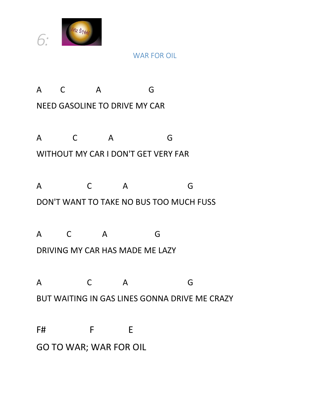

#### WAR FOR OIL

A C A G NEED GASOLINE TO DRIVE MY CAR

A C A G WITHOUT MY CAR I DON'T GET VERY FAR

A C A G DON'T WANT TO TAKE NO BUS TOO MUCH FUSS

A C A G DRIVING MY CAR HAS MADE ME LAZY

A C A G BUT WAITING IN GAS LINES GONNA DRIVE ME CRAZY

F# F E GO TO WAR; WAR FOR OIL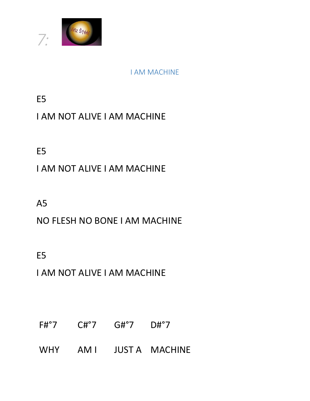

#### I AM MACHINE

E5

## I AM NOT ALIVE I AM MACHINE

E5

## I AM NOT ALIVE I AM MACHINE

A5

## NO FLESH NO BONE I AM MACHINE

E5

I AM NOT ALIVE I AM MACHINE

- F#°7 C#°7 G#°7 D#°7
- WHY AM I JUST A MACHINE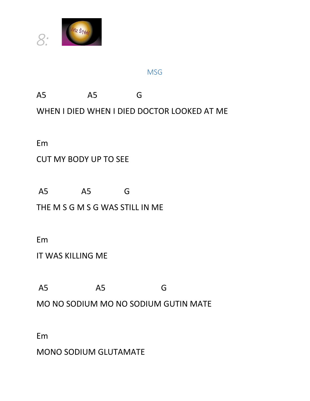

#### **MSG**

A5 A5 G WHEN I DIED WHEN I DIED DOCTOR LOOKED AT ME

Em

#### CUT MY BODY UP TO SEE

A5 A5 G

THE M S G M S G WAS STILL IN ME

Em

IT WAS KILLING ME

A5 A5 G

MO NO SODIUM MO NO SODIUM GUTIN MATE

Em

MONO SODIUM GLUTAMATE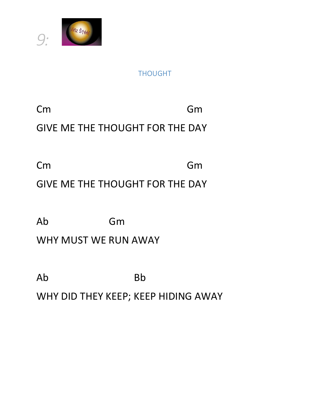

### THOUGHT

Cm Gm

GIVE ME THE THOUGHT FOR THE DAY

Cm Gm

# GIVE ME THE THOUGHT FOR THE DAY

Ab Gm

WHY MUST WE RUN AWAY

Ab Bb WHY DID THEY KEEP; KEEP HIDING AWAY